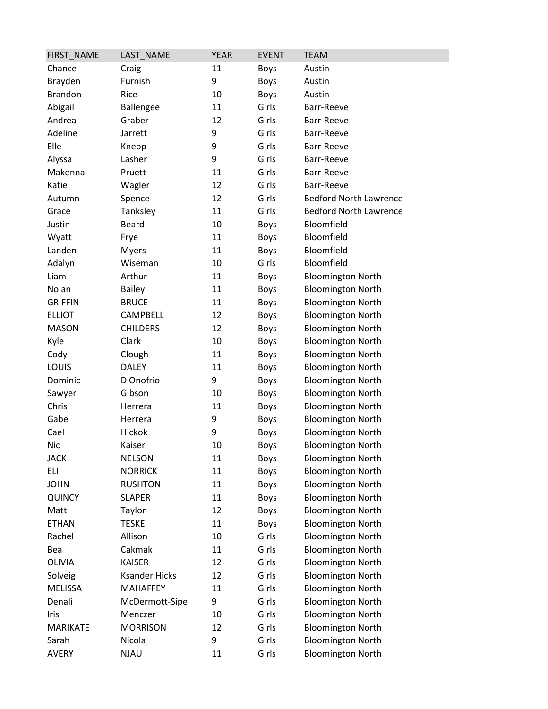| FIRST_NAME      | LAST_NAME            | <b>YEAR</b> | <b>EVENT</b> | <b>TEAM</b>                   |
|-----------------|----------------------|-------------|--------------|-------------------------------|
| Chance          | Craig                | 11          | <b>Boys</b>  | Austin                        |
| Brayden         | Furnish              | 9           | <b>Boys</b>  | Austin                        |
| <b>Brandon</b>  | Rice                 | 10          | <b>Boys</b>  | Austin                        |
| Abigail         | Ballengee            | 11          | Girls        | Barr-Reeve                    |
| Andrea          | Graber               | 12          | Girls        | Barr-Reeve                    |
| Adeline         | Jarrett              | 9           | Girls        | Barr-Reeve                    |
| Elle            | Knepp                | 9           | Girls        | Barr-Reeve                    |
| Alyssa          | Lasher               | 9           | Girls        | Barr-Reeve                    |
| Makenna         | Pruett               | 11          | Girls        | Barr-Reeve                    |
| Katie           | Wagler               | 12          | Girls        | Barr-Reeve                    |
| Autumn          | Spence               | 12          | Girls        | <b>Bedford North Lawrence</b> |
| Grace           | Tanksley             | 11          | Girls        | <b>Bedford North Lawrence</b> |
| Justin          | <b>Beard</b>         | 10          | <b>Boys</b>  | Bloomfield                    |
| Wyatt           | Frye                 | 11          | <b>Boys</b>  | Bloomfield                    |
| Landen          | <b>Myers</b>         | 11          | <b>Boys</b>  | Bloomfield                    |
| Adalyn          | Wiseman              | 10          | Girls        | Bloomfield                    |
| Liam            | Arthur               | 11          | <b>Boys</b>  | <b>Bloomington North</b>      |
| Nolan           | <b>Bailey</b>        | 11          | <b>Boys</b>  | <b>Bloomington North</b>      |
| <b>GRIFFIN</b>  | <b>BRUCE</b>         | 11          | <b>Boys</b>  | <b>Bloomington North</b>      |
| <b>ELLIOT</b>   | CAMPBELL             | 12          | <b>Boys</b>  | <b>Bloomington North</b>      |
| <b>MASON</b>    | <b>CHILDERS</b>      | 12          | <b>Boys</b>  | <b>Bloomington North</b>      |
| Kyle            | Clark                | 10          | <b>Boys</b>  | <b>Bloomington North</b>      |
| Cody            | Clough               | 11          | <b>Boys</b>  | <b>Bloomington North</b>      |
| LOUIS           | <b>DALEY</b>         | 11          | Boys         | <b>Bloomington North</b>      |
| Dominic         | D'Onofrio            | 9           | <b>Boys</b>  | <b>Bloomington North</b>      |
| Sawyer          | Gibson               | 10          | <b>Boys</b>  | <b>Bloomington North</b>      |
| Chris           | Herrera              | 11          | <b>Boys</b>  | <b>Bloomington North</b>      |
| Gabe            | Herrera              | 9           | <b>Boys</b>  | <b>Bloomington North</b>      |
| Cael            | Hickok               | 9           | <b>Boys</b>  | <b>Bloomington North</b>      |
| Nic             | Kaiser               | 10          | Boys         | <b>Bloomington North</b>      |
| <b>JACK</b>     | <b>NELSON</b>        | 11          | <b>Boys</b>  | <b>Bloomington North</b>      |
| ELI             | <b>NORRICK</b>       | 11          | <b>Boys</b>  | <b>Bloomington North</b>      |
| <b>JOHN</b>     | <b>RUSHTON</b>       | 11          | <b>Boys</b>  | <b>Bloomington North</b>      |
| QUINCY          | <b>SLAPER</b>        | 11          | <b>Boys</b>  | <b>Bloomington North</b>      |
| Matt            | Taylor               | 12          | <b>Boys</b>  | <b>Bloomington North</b>      |
| <b>ETHAN</b>    | <b>TESKE</b>         | 11          | <b>Boys</b>  | <b>Bloomington North</b>      |
| Rachel          | Allison              | 10          | Girls        | <b>Bloomington North</b>      |
| Bea             | Cakmak               | 11          | Girls        | <b>Bloomington North</b>      |
| OLIVIA          | <b>KAISER</b>        | 12          | Girls        | <b>Bloomington North</b>      |
| Solveig         | <b>Ksander Hicks</b> | 12          | Girls        | <b>Bloomington North</b>      |
| <b>MELISSA</b>  | <b>MAHAFFEY</b>      | 11          | Girls        | <b>Bloomington North</b>      |
| Denali          | McDermott-Sipe       | 9           | Girls        | <b>Bloomington North</b>      |
| Iris            | Menczer              | 10          | Girls        | <b>Bloomington North</b>      |
| <b>MARIKATE</b> | <b>MORRISON</b>      | 12          | Girls        | <b>Bloomington North</b>      |
| Sarah           | Nicola               | 9           | Girls        | <b>Bloomington North</b>      |
| <b>AVERY</b>    | <b>NJAU</b>          | 11          | Girls        | <b>Bloomington North</b>      |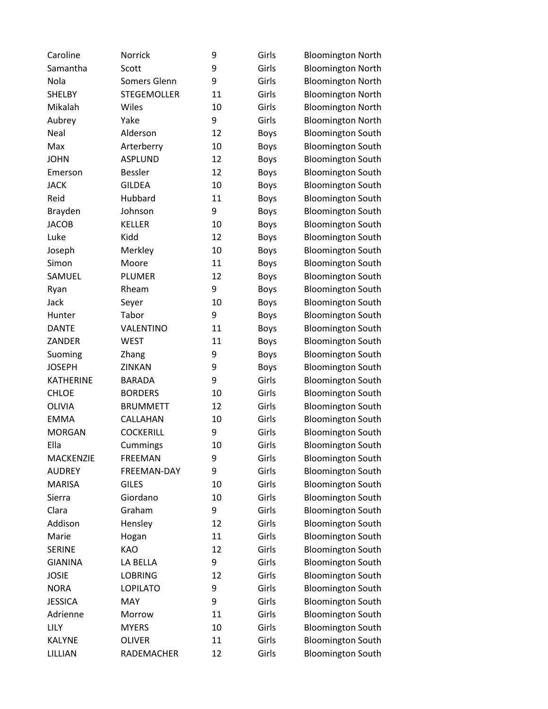| Caroline         | Norrick            | 9  | Girls       | <b>Bloomington North</b> |
|------------------|--------------------|----|-------------|--------------------------|
| Samantha         | Scott              | 9  | Girls       | <b>Bloomington North</b> |
| Nola             | Somers Glenn       | 9  | Girls       | <b>Bloomington North</b> |
| <b>SHELBY</b>    | <b>STEGEMOLLER</b> | 11 | Girls       | <b>Bloomington North</b> |
| Mikalah          | Wiles              | 10 | Girls       | <b>Bloomington North</b> |
| Aubrey           | Yake               | 9  | Girls       | <b>Bloomington North</b> |
| Neal             | Alderson           | 12 | Boys        | <b>Bloomington South</b> |
| Max              | Arterberry         | 10 | <b>Boys</b> | <b>Bloomington South</b> |
| <b>JOHN</b>      | <b>ASPLUND</b>     | 12 | <b>Boys</b> | <b>Bloomington South</b> |
| Emerson          | <b>Bessler</b>     | 12 | <b>Boys</b> | <b>Bloomington South</b> |
| <b>JACK</b>      | <b>GILDEA</b>      | 10 | <b>Boys</b> | <b>Bloomington South</b> |
| Reid             | Hubbard            | 11 | <b>Boys</b> | <b>Bloomington South</b> |
| Brayden          | Johnson            | 9  | <b>Boys</b> | <b>Bloomington South</b> |
| <b>JACOB</b>     | <b>KELLER</b>      | 10 | <b>Boys</b> | <b>Bloomington South</b> |
| Luke             | Kidd               | 12 | <b>Boys</b> | <b>Bloomington South</b> |
| Joseph           | Merkley            | 10 | <b>Boys</b> | <b>Bloomington South</b> |
| Simon            | Moore              | 11 | <b>Boys</b> | <b>Bloomington South</b> |
| SAMUEL           | PLUMER             | 12 | <b>Boys</b> | <b>Bloomington South</b> |
| Ryan             | Rheam              | 9  | <b>Boys</b> | <b>Bloomington South</b> |
| Jack             | Seyer              | 10 | <b>Boys</b> | <b>Bloomington South</b> |
| Hunter           | Tabor              | 9  | <b>Boys</b> | <b>Bloomington South</b> |
| <b>DANTE</b>     | VALENTINO          | 11 | <b>Boys</b> | <b>Bloomington South</b> |
| ZANDER           | <b>WEST</b>        | 11 | <b>Boys</b> | <b>Bloomington South</b> |
| Suoming          | Zhang              | 9  | <b>Boys</b> | <b>Bloomington South</b> |
| <b>JOSEPH</b>    | <b>ZINKAN</b>      | 9  | <b>Boys</b> | <b>Bloomington South</b> |
| <b>KATHERINE</b> | <b>BARADA</b>      | 9  | Girls       | <b>Bloomington South</b> |
| <b>CHLOE</b>     | <b>BORDERS</b>     | 10 | Girls       | <b>Bloomington South</b> |
| <b>OLIVIA</b>    | <b>BRUMMETT</b>    | 12 | Girls       | <b>Bloomington South</b> |
| <b>EMMA</b>      | CALLAHAN           | 10 | Girls       | <b>Bloomington South</b> |
| <b>MORGAN</b>    | <b>COCKERILL</b>   | 9  | Girls       | <b>Bloomington South</b> |
| Ella             | Cummings           | 10 | Girls       | <b>Bloomington South</b> |
| <b>MACKENZIE</b> | <b>FREEMAN</b>     | 9  | Girls       | <b>Bloomington South</b> |
| <b>AUDREY</b>    | FREEMAN-DAY        | 9  | Girls       | <b>Bloomington South</b> |
| <b>MARISA</b>    | <b>GILES</b>       | 10 | Girls       | <b>Bloomington South</b> |
| Sierra           | Giordano           | 10 | Girls       | <b>Bloomington South</b> |
| Clara            | Graham             | 9  | Girls       | <b>Bloomington South</b> |
| Addison          | Hensley            | 12 | Girls       | <b>Bloomington South</b> |
| Marie            | Hogan              | 11 | Girls       | <b>Bloomington South</b> |
| <b>SERINE</b>    | KAO                | 12 | Girls       | <b>Bloomington South</b> |
| <b>GIANINA</b>   | LA BELLA           | 9  | Girls       | <b>Bloomington South</b> |
| <b>JOSIE</b>     | <b>LOBRING</b>     | 12 | Girls       | <b>Bloomington South</b> |
| <b>NORA</b>      | <b>LOPILATO</b>    | 9  | Girls       | <b>Bloomington South</b> |
| <b>JESSICA</b>   | <b>MAY</b>         | 9  | Girls       | <b>Bloomington South</b> |
| Adrienne         | Morrow             | 11 | Girls       | <b>Bloomington South</b> |
| LILY             | <b>MYERS</b>       | 10 | Girls       | <b>Bloomington South</b> |
| <b>KALYNE</b>    | <b>OLIVER</b>      | 11 | Girls       | <b>Bloomington South</b> |
| LILLIAN          | RADEMACHER         | 12 | Girls       | <b>Bloomington South</b> |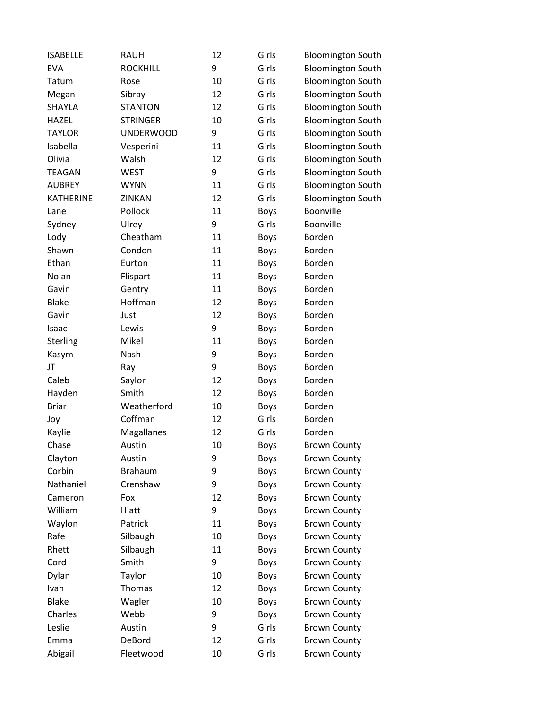| <b>ISABELLE</b>  | <b>RAUH</b>      | 12 | Girls       | <b>Bloomington South</b> |
|------------------|------------------|----|-------------|--------------------------|
| <b>EVA</b>       | <b>ROCKHILL</b>  | 9  | Girls       | <b>Bloomington South</b> |
| Tatum            | Rose             | 10 | Girls       | <b>Bloomington South</b> |
| Megan            | Sibray           | 12 | Girls       | <b>Bloomington South</b> |
| SHAYLA           | <b>STANTON</b>   | 12 | Girls       | <b>Bloomington South</b> |
| <b>HAZEL</b>     | <b>STRINGER</b>  | 10 | Girls       | <b>Bloomington South</b> |
| <b>TAYLOR</b>    | <b>UNDERWOOD</b> | 9  | Girls       | <b>Bloomington South</b> |
| Isabella         | Vesperini        | 11 | Girls       | <b>Bloomington South</b> |
| Olivia           | Walsh            | 12 | Girls       | <b>Bloomington South</b> |
| <b>TEAGAN</b>    | <b>WEST</b>      | 9  | Girls       | <b>Bloomington South</b> |
| <b>AUBREY</b>    | <b>WYNN</b>      | 11 | Girls       | <b>Bloomington South</b> |
| <b>KATHERINE</b> | ZINKAN           | 12 | Girls       | <b>Bloomington South</b> |
| Lane             | Pollock          | 11 | <b>Boys</b> | Boonville                |
| Sydney           | Ulrey            | 9  | Girls       | Boonville                |
| Lody             | Cheatham         | 11 | <b>Boys</b> | Borden                   |
| Shawn            | Condon           | 11 | <b>Boys</b> | Borden                   |
| Ethan            | Eurton           | 11 | <b>Boys</b> | Borden                   |
| Nolan            | Flispart         | 11 | <b>Boys</b> | Borden                   |
| Gavin            | Gentry           | 11 | <b>Boys</b> | Borden                   |
| <b>Blake</b>     | Hoffman          | 12 | <b>Boys</b> | Borden                   |
| Gavin            | Just             | 12 | <b>Boys</b> | Borden                   |
| Isaac            | Lewis            | 9  | <b>Boys</b> | Borden                   |
| Sterling         | Mikel            | 11 | <b>Boys</b> | Borden                   |
| Kasym            | Nash             | 9  | <b>Boys</b> | Borden                   |
| JT               | Ray              | 9  | <b>Boys</b> | Borden                   |
| Caleb            | Saylor           | 12 | <b>Boys</b> | Borden                   |
| Hayden           | Smith            | 12 | <b>Boys</b> | Borden                   |
| <b>Briar</b>     | Weatherford      | 10 | <b>Boys</b> | Borden                   |
| Joy              | Coffman          | 12 | Girls       | Borden                   |
| Kaylie           | Magallanes       | 12 | Girls       | Borden                   |
| Chase            | Austin           | 10 | <b>Boys</b> | <b>Brown County</b>      |
| Clayton          | Austin           | 9  | <b>Boys</b> | <b>Brown County</b>      |
| Corbin           | <b>Brahaum</b>   | 9  | Boys        | <b>Brown County</b>      |
| Nathaniel        | Crenshaw         | 9  | Boys        | <b>Brown County</b>      |
| Cameron          | Fox              | 12 | <b>Boys</b> | <b>Brown County</b>      |
| William          | Hiatt            | 9  | <b>Boys</b> | <b>Brown County</b>      |
| Waylon           | Patrick          | 11 | <b>Boys</b> | <b>Brown County</b>      |
| Rafe             | Silbaugh         | 10 | Boys        | <b>Brown County</b>      |
| Rhett            | Silbaugh         | 11 | <b>Boys</b> | <b>Brown County</b>      |
| Cord             | Smith            | 9  | Boys        | <b>Brown County</b>      |
| Dylan            | Taylor           | 10 | <b>Boys</b> | <b>Brown County</b>      |
| Ivan             | Thomas           | 12 | <b>Boys</b> | <b>Brown County</b>      |
| <b>Blake</b>     | Wagler           | 10 | Boys        | <b>Brown County</b>      |
| Charles          | Webb             | 9  | <b>Boys</b> | <b>Brown County</b>      |
| Leslie           | Austin           | 9  | Girls       | <b>Brown County</b>      |
| Emma             | DeBord           | 12 | Girls       | <b>Brown County</b>      |
| Abigail          | Fleetwood        | 10 | Girls       | <b>Brown County</b>      |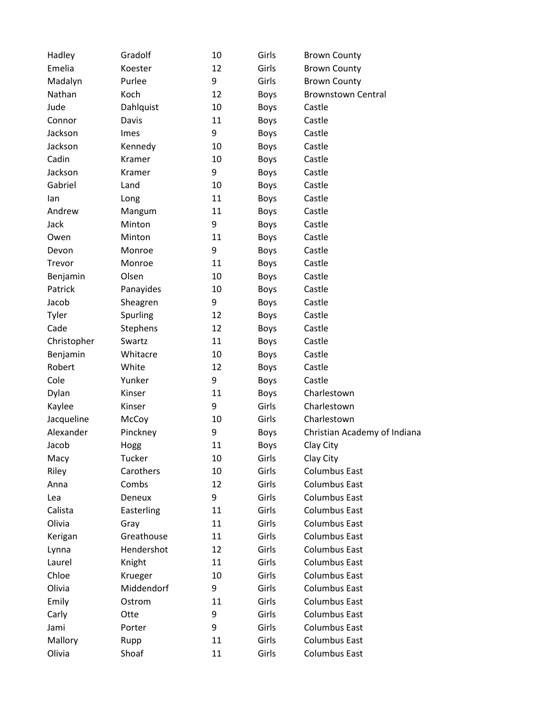| Hadley      | Gradolf    | 10 | Girls       | <b>Brown County</b>          |
|-------------|------------|----|-------------|------------------------------|
| Emelia      | Koester    | 12 | Girls       | <b>Brown County</b>          |
| Madalyn     | Purlee     | 9  | Girls       | <b>Brown County</b>          |
| Nathan      | Koch       | 12 | <b>Boys</b> | <b>Brownstown Central</b>    |
| Jude        | Dahlquist  | 10 | <b>Boys</b> | Castle                       |
| Connor      | Davis      | 11 | <b>Boys</b> | Castle                       |
| Jackson     | Imes       | 9  | <b>Boys</b> | Castle                       |
| Jackson     | Kennedy    | 10 | <b>Boys</b> | Castle                       |
| Cadin       | Kramer     | 10 | <b>Boys</b> | Castle                       |
| Jackson     | Kramer     | 9  | <b>Boys</b> | Castle                       |
| Gabriel     | Land       | 10 | <b>Boys</b> | Castle                       |
| lan         | Long       | 11 | <b>Boys</b> | Castle                       |
| Andrew      | Mangum     | 11 | <b>Boys</b> | Castle                       |
| Jack        | Minton     | 9  | <b>Boys</b> | Castle                       |
| Owen        | Minton     | 11 | <b>Boys</b> | Castle                       |
| Devon       | Monroe     | 9  | <b>Boys</b> | Castle                       |
| Trevor      | Monroe     | 11 | <b>Boys</b> | Castle                       |
| Benjamin    | Olsen      | 10 | <b>Boys</b> | Castle                       |
| Patrick     | Panayides  | 10 | <b>Boys</b> | Castle                       |
| Jacob       | Sheagren   | 9  | <b>Boys</b> | Castle                       |
| Tyler       | Spurling   | 12 | <b>Boys</b> | Castle                       |
| Cade        | Stephens   | 12 | <b>Boys</b> | Castle                       |
| Christopher | Swartz     | 11 | <b>Boys</b> | Castle                       |
| Benjamin    | Whitacre   | 10 | <b>Boys</b> | Castle                       |
| Robert      | White      | 12 | <b>Boys</b> | Castle                       |
| Cole        | Yunker     | 9  | Boys        | Castle                       |
| Dylan       | Kinser     | 11 | <b>Boys</b> | Charlestown                  |
| Kaylee      | Kinser     | 9  | Girls       | Charlestown                  |
| Jacqueline  | McCoy      | 10 | Girls       | Charlestown                  |
| Alexander   | Pinckney   | 9  | <b>Boys</b> | Christian Academy of Indiana |
| Jacob       | Hogg       | 11 | <b>Boys</b> | Clay City                    |
| Macy        | Tucker     | 10 | Girls       | Clay City                    |
| Riley       | Carothers  | 10 | Girls       | <b>Columbus East</b>         |
| Anna        | Combs      | 12 | Girls       | <b>Columbus East</b>         |
| Lea         | Deneux     | 9  | Girls       | <b>Columbus East</b>         |
| Calista     | Easterling | 11 | Girls       | <b>Columbus East</b>         |
| Olivia      | Gray       | 11 | Girls       | <b>Columbus East</b>         |
| Kerigan     | Greathouse | 11 | Girls       | <b>Columbus East</b>         |
| Lynna       | Hendershot | 12 | Girls       | <b>Columbus East</b>         |
| Laurel      | Knight     | 11 | Girls       | <b>Columbus East</b>         |
| Chloe       | Krueger    | 10 | Girls       | <b>Columbus East</b>         |
| Olivia      | Middendorf | 9  | Girls       | <b>Columbus East</b>         |
| Emily       | Ostrom     | 11 | Girls       | <b>Columbus East</b>         |
| Carly       | Otte       | 9  | Girls       | <b>Columbus East</b>         |
| Jami        | Porter     | 9  | Girls       | <b>Columbus East</b>         |
| Mallory     | Rupp       | 11 | Girls       | <b>Columbus East</b>         |
| Olivia      | Shoaf      | 11 | Girls       | Columbus East                |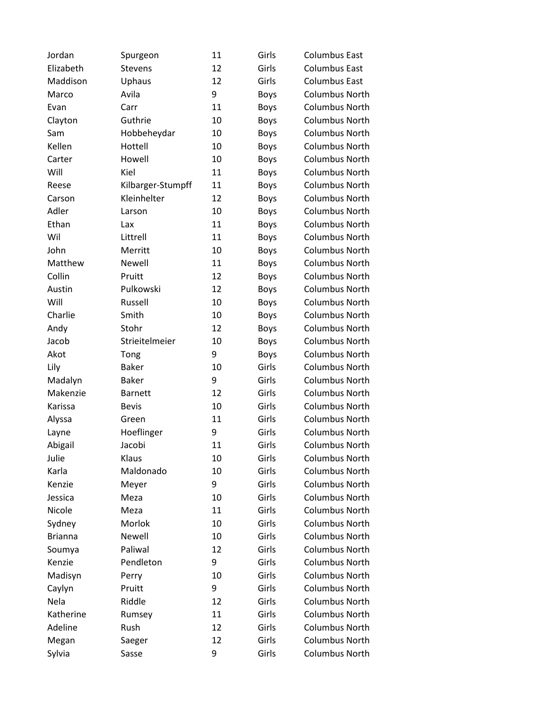| Jordan         | Spurgeon          | 11 | Girls       | <b>Columbus East</b>  |
|----------------|-------------------|----|-------------|-----------------------|
| Elizabeth      | <b>Stevens</b>    | 12 | Girls       | <b>Columbus East</b>  |
| Maddison       | Uphaus            | 12 | Girls       | <b>Columbus East</b>  |
| Marco          | Avila             | 9  | <b>Boys</b> | <b>Columbus North</b> |
| Evan           | Carr              | 11 | <b>Boys</b> | <b>Columbus North</b> |
| Clayton        | Guthrie           | 10 | <b>Boys</b> | <b>Columbus North</b> |
| Sam            | Hobbeheydar       | 10 | <b>Boys</b> | <b>Columbus North</b> |
| Kellen         | Hottell           | 10 | <b>Boys</b> | <b>Columbus North</b> |
| Carter         | Howell            | 10 | <b>Boys</b> | <b>Columbus North</b> |
| Will           | Kiel              | 11 | <b>Boys</b> | <b>Columbus North</b> |
| Reese          | Kilbarger-Stumpff | 11 | <b>Boys</b> | <b>Columbus North</b> |
| Carson         | Kleinhelter       | 12 | <b>Boys</b> | <b>Columbus North</b> |
| Adler          | Larson            | 10 | <b>Boys</b> | <b>Columbus North</b> |
| Ethan          | Lax               | 11 | <b>Boys</b> | <b>Columbus North</b> |
| Wil            | Littrell          | 11 | <b>Boys</b> | <b>Columbus North</b> |
| John           | Merritt           | 10 | <b>Boys</b> | <b>Columbus North</b> |
| Matthew        | <b>Newell</b>     | 11 | <b>Boys</b> | <b>Columbus North</b> |
| Collin         | Pruitt            | 12 | <b>Boys</b> | <b>Columbus North</b> |
| Austin         | Pulkowski         | 12 | <b>Boys</b> | <b>Columbus North</b> |
| Will           | Russell           | 10 | <b>Boys</b> | <b>Columbus North</b> |
| Charlie        | Smith             | 10 | <b>Boys</b> | <b>Columbus North</b> |
| Andy           | Stohr             | 12 | <b>Boys</b> | <b>Columbus North</b> |
| Jacob          | Strieitelmeier    | 10 | <b>Boys</b> | <b>Columbus North</b> |
| Akot           | Tong              | 9  | <b>Boys</b> | Columbus North        |
| Lily           | <b>Baker</b>      | 10 | Girls       | <b>Columbus North</b> |
| Madalyn        | <b>Baker</b>      | 9  | Girls       | <b>Columbus North</b> |
| Makenzie       | <b>Barnett</b>    | 12 | Girls       | <b>Columbus North</b> |
| Karissa        | <b>Bevis</b>      | 10 | Girls       | <b>Columbus North</b> |
| Alyssa         | Green             | 11 | Girls       | <b>Columbus North</b> |
| Layne          | Hoeflinger        | 9  | Girls       | <b>Columbus North</b> |
| Abigail        | Jacobi            | 11 | Girls       | <b>Columbus North</b> |
| Julie          | Klaus             | 10 | Girls       | <b>Columbus North</b> |
| Karla          | Maldonado         | 10 | Girls       | <b>Columbus North</b> |
| Kenzie         | Meyer             | 9  | Girls       | <b>Columbus North</b> |
| Jessica        | Meza              | 10 | Girls       | <b>Columbus North</b> |
| Nicole         | Meza              | 11 | Girls       | <b>Columbus North</b> |
| Sydney         | Morlok            | 10 | Girls       | <b>Columbus North</b> |
| <b>Brianna</b> | Newell            | 10 | Girls       | <b>Columbus North</b> |
| Soumya         | Paliwal           | 12 | Girls       | <b>Columbus North</b> |
| Kenzie         | Pendleton         | 9  | Girls       | <b>Columbus North</b> |
| Madisyn        | Perry             | 10 | Girls       | <b>Columbus North</b> |
| Caylyn         | Pruitt            | 9  | Girls       | <b>Columbus North</b> |
| Nela           | Riddle            | 12 | Girls       | <b>Columbus North</b> |
| Katherine      | Rumsey            | 11 | Girls       | <b>Columbus North</b> |
| Adeline        | Rush              | 12 | Girls       | <b>Columbus North</b> |
| Megan          | Saeger            | 12 | Girls       | <b>Columbus North</b> |
| Sylvia         | Sasse             | 9  | Girls       | <b>Columbus North</b> |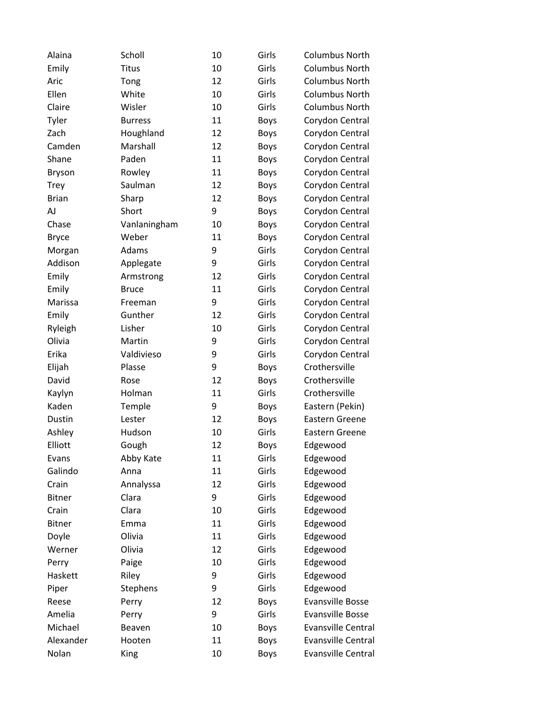| Alaina        | Scholl         | 10 | Girls       | <b>Columbus North</b>     |
|---------------|----------------|----|-------------|---------------------------|
| Emily         | <b>Titus</b>   | 10 | Girls       | <b>Columbus North</b>     |
| Aric          | Tong           | 12 | Girls       | <b>Columbus North</b>     |
| Ellen         | White          | 10 | Girls       | <b>Columbus North</b>     |
| Claire        | Wisler         | 10 | Girls       | <b>Columbus North</b>     |
| Tyler         | <b>Burress</b> | 11 | <b>Boys</b> | Corydon Central           |
| Zach          | Houghland      | 12 | <b>Boys</b> | Corydon Central           |
| Camden        | Marshall       | 12 | <b>Boys</b> | Corydon Central           |
| Shane         | Paden          | 11 | <b>Boys</b> | Corydon Central           |
| <b>Bryson</b> | Rowley         | 11 | <b>Boys</b> | Corydon Central           |
| <b>Trey</b>   | Saulman        | 12 | <b>Boys</b> | Corydon Central           |
| <b>Brian</b>  | Sharp          | 12 | <b>Boys</b> | Corydon Central           |
| AJ            | Short          | 9  | <b>Boys</b> | Corydon Central           |
| Chase         | Vanlaningham   | 10 | <b>Boys</b> | Corydon Central           |
| <b>Bryce</b>  | Weber          | 11 | <b>Boys</b> | Corydon Central           |
| Morgan        | Adams          | 9  | Girls       | Corydon Central           |
| Addison       | Applegate      | 9  | Girls       | Corydon Central           |
| Emily         | Armstrong      | 12 | Girls       | Corydon Central           |
| Emily         | <b>Bruce</b>   | 11 | Girls       | Corydon Central           |
| Marissa       | Freeman        | 9  | Girls       | Corydon Central           |
| Emily         | Gunther        | 12 | Girls       | Corydon Central           |
| Ryleigh       | Lisher         | 10 | Girls       | Corydon Central           |
| Olivia        | Martin         | 9  | Girls       | Corydon Central           |
| Erika         | Valdivieso     | 9  | Girls       | Corydon Central           |
| Elijah        | Plasse         | 9  | <b>Boys</b> | Crothersville             |
| David         | Rose           | 12 | <b>Boys</b> | Crothersville             |
| Kaylyn        | Holman         | 11 | Girls       | Crothersville             |
| Kaden         | Temple         | 9  | <b>Boys</b> | Eastern (Pekin)           |
| Dustin        | Lester         | 12 | <b>Boys</b> | Eastern Greene            |
| Ashley        | Hudson         | 10 | Girls       | Eastern Greene            |
| Elliott       | Gough          | 12 | <b>Boys</b> | Edgewood                  |
| Evans         | Abby Kate      | 11 | Girls       | Edgewood                  |
| Galindo       | Anna           | 11 | Girls       | Edgewood                  |
| Crain         | Annalyssa      | 12 | Girls       | Edgewood                  |
| <b>Bitner</b> | Clara          | 9  | Girls       | Edgewood                  |
| Crain         | Clara          | 10 | Girls       | Edgewood                  |
| <b>Bitner</b> | Emma           | 11 | Girls       | Edgewood                  |
| Doyle         | Olivia         | 11 | Girls       | Edgewood                  |
| Werner        | Olivia         | 12 | Girls       | Edgewood                  |
| Perry         | Paige          | 10 | Girls       | Edgewood                  |
| Haskett       | Riley          | 9  | Girls       | Edgewood                  |
| Piper         | Stephens       | 9  | Girls       | Edgewood                  |
| Reese         | Perry          | 12 | <b>Boys</b> | <b>Evansville Bosse</b>   |
| Amelia        | Perry          | 9  | Girls       | <b>Evansville Bosse</b>   |
| Michael       | Beaven         | 10 | Boys        | <b>Evansville Central</b> |
| Alexander     | Hooten         | 11 | <b>Boys</b> | <b>Evansville Central</b> |
| Nolan         | <b>King</b>    | 10 | <b>Boys</b> | Evansville Central        |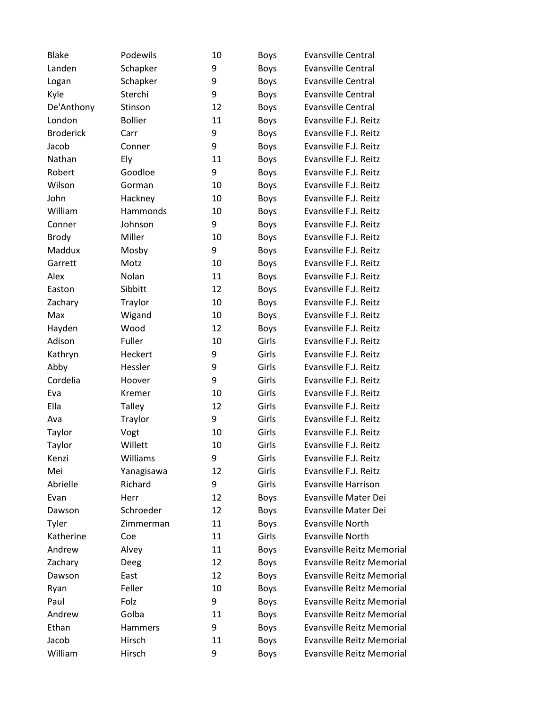| <b>Blake</b>     | Podewils       | 10 | Boys        | <b>Evansville Central</b>        |
|------------------|----------------|----|-------------|----------------------------------|
| Landen           | Schapker       | 9  | Boys        | <b>Evansville Central</b>        |
| Logan            | Schapker       | 9  | <b>Boys</b> | <b>Evansville Central</b>        |
| Kyle             | Sterchi        | 9  | <b>Boys</b> | <b>Evansville Central</b>        |
| De'Anthony       | Stinson        | 12 | <b>Boys</b> | <b>Evansville Central</b>        |
| London           | <b>Bollier</b> | 11 | <b>Boys</b> | Evansville F.J. Reitz            |
| <b>Broderick</b> | Carr           | 9  | <b>Boys</b> | Evansville F.J. Reitz            |
| Jacob            | Conner         | 9  | <b>Boys</b> | Evansville F.J. Reitz            |
| Nathan           | Ely            | 11 | <b>Boys</b> | Evansville F.J. Reitz            |
| Robert           | Goodloe        | 9  | Boys        | Evansville F.J. Reitz            |
| Wilson           | Gorman         | 10 | <b>Boys</b> | Evansville F.J. Reitz            |
| John             | Hackney        | 10 | <b>Boys</b> | Evansville F.J. Reitz            |
| William          | Hammonds       | 10 | <b>Boys</b> | Evansville F.J. Reitz            |
| Conner           | Johnson        | 9  | <b>Boys</b> | Evansville F.J. Reitz            |
| <b>Brody</b>     | Miller         | 10 | <b>Boys</b> | Evansville F.J. Reitz            |
| Maddux           | Mosby          | 9  | <b>Boys</b> | Evansville F.J. Reitz            |
| Garrett          | Motz           | 10 | <b>Boys</b> | Evansville F.J. Reitz            |
| Alex             | Nolan          | 11 | <b>Boys</b> | Evansville F.J. Reitz            |
| Easton           | Sibbitt        | 12 | <b>Boys</b> | Evansville F.J. Reitz            |
| Zachary          | Traylor        | 10 | Boys        | Evansville F.J. Reitz            |
| Max              | Wigand         | 10 | <b>Boys</b> | Evansville F.J. Reitz            |
| Hayden           | Wood           | 12 | Boys        | Evansville F.J. Reitz            |
| Adison           | Fuller         | 10 | Girls       | Evansville F.J. Reitz            |
| Kathryn          | Heckert        | 9  | Girls       | Evansville F.J. Reitz            |
| Abby             | Hessler        | 9  | Girls       | Evansville F.J. Reitz            |
| Cordelia         | Hoover         | 9  | Girls       | Evansville F.J. Reitz            |
| Eva              | Kremer         | 10 | Girls       | Evansville F.J. Reitz            |
| Ella             | <b>Talley</b>  | 12 | Girls       | Evansville F.J. Reitz            |
| Ava              | Traylor        | 9  | Girls       | Evansville F.J. Reitz            |
| Taylor           | Vogt           | 10 | Girls       | Evansville F.J. Reitz            |
| Taylor           | Willett        | 10 | Girls       | Evansville F.J. Reitz            |
| Kenzi            | Williams       | 9  | Girls       | Evansville F.J. Reitz            |
| Mei              | Yanagisawa     | 12 | Girls       | Evansville F.J. Reitz            |
| Abrielle         | Richard        | 9  | Girls       | <b>Evansville Harrison</b>       |
| Evan             | Herr           | 12 | Boys        | Evansville Mater Dei             |
| Dawson           | Schroeder      | 12 | Boys        | Evansville Mater Dei             |
| Tyler            | Zimmerman      | 11 | Boys        | <b>Evansville North</b>          |
| Katherine        | Coe            | 11 | Girls       | Evansville North                 |
| Andrew           | Alvey          | 11 | Boys        | <b>Evansville Reitz Memorial</b> |
| Zachary          | Deeg           | 12 | Boys        | <b>Evansville Reitz Memorial</b> |
| Dawson           | East           | 12 | Boys        | <b>Evansville Reitz Memorial</b> |
| Ryan             | Feller         | 10 | Boys        | <b>Evansville Reitz Memorial</b> |
| Paul             | Folz           | 9  | Boys        | <b>Evansville Reitz Memorial</b> |
| Andrew           | Golba          | 11 | <b>Boys</b> | <b>Evansville Reitz Memorial</b> |
| Ethan            | Hammers        | 9  | Boys        | Evansville Reitz Memorial        |
| Jacob            | Hirsch         | 11 | Boys        | <b>Evansville Reitz Memorial</b> |
| William          | Hirsch         | 9  | <b>Boys</b> | <b>Evansville Reitz Memorial</b> |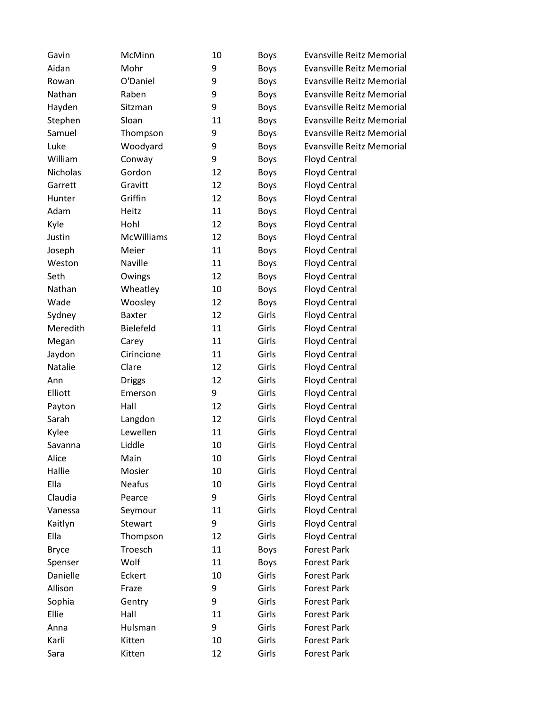| Gavin        | McMinn            | 10 | <b>Boys</b> | <b>Evansville Reitz Memorial</b> |
|--------------|-------------------|----|-------------|----------------------------------|
| Aidan        | Mohr              | 9  | <b>Boys</b> | <b>Evansville Reitz Memorial</b> |
| Rowan        | O'Daniel          | 9  | <b>Boys</b> | <b>Evansville Reitz Memorial</b> |
| Nathan       | Raben             | 9  | <b>Boys</b> | <b>Evansville Reitz Memorial</b> |
| Hayden       | Sitzman           | 9  | <b>Boys</b> | <b>Evansville Reitz Memorial</b> |
| Stephen      | Sloan             | 11 | <b>Boys</b> | <b>Evansville Reitz Memorial</b> |
| Samuel       | Thompson          | 9  | <b>Boys</b> | <b>Evansville Reitz Memorial</b> |
| Luke         | Woodyard          | 9  | <b>Boys</b> | <b>Evansville Reitz Memorial</b> |
| William      | Conway            | 9  | <b>Boys</b> | <b>Floyd Central</b>             |
| Nicholas     | Gordon            | 12 | <b>Boys</b> | <b>Floyd Central</b>             |
| Garrett      | Gravitt           | 12 | <b>Boys</b> | <b>Floyd Central</b>             |
| Hunter       | Griffin           | 12 | <b>Boys</b> | <b>Floyd Central</b>             |
| Adam         | Heitz             | 11 | <b>Boys</b> | <b>Floyd Central</b>             |
| Kyle         | Hohl              | 12 | Boys        | <b>Floyd Central</b>             |
| Justin       | <b>McWilliams</b> | 12 | <b>Boys</b> | <b>Floyd Central</b>             |
| Joseph       | Meier             | 11 | <b>Boys</b> | <b>Floyd Central</b>             |
| Weston       | Naville           | 11 | <b>Boys</b> | <b>Floyd Central</b>             |
| Seth         | Owings            | 12 | <b>Boys</b> | <b>Floyd Central</b>             |
| Nathan       | Wheatley          | 10 | <b>Boys</b> | <b>Floyd Central</b>             |
| Wade         | Woosley           | 12 | <b>Boys</b> | <b>Floyd Central</b>             |
| Sydney       | <b>Baxter</b>     | 12 | Girls       | <b>Floyd Central</b>             |
| Meredith     | Bielefeld         | 11 | Girls       | <b>Floyd Central</b>             |
| Megan        | Carey             | 11 | Girls       | <b>Floyd Central</b>             |
| Jaydon       | Cirincione        | 11 | Girls       | <b>Floyd Central</b>             |
| Natalie      | Clare             | 12 | Girls       | <b>Floyd Central</b>             |
| Ann          | <b>Driggs</b>     | 12 | Girls       | <b>Floyd Central</b>             |
| Elliott      | Emerson           | 9  | Girls       | <b>Floyd Central</b>             |
| Payton       | Hall              | 12 | Girls       | <b>Floyd Central</b>             |
| Sarah        | Langdon           | 12 | Girls       | <b>Floyd Central</b>             |
| Kylee        | Lewellen          | 11 | Girls       | <b>Floyd Central</b>             |
| Savanna      | Liddle            | 10 | Girls       | <b>Floyd Central</b>             |
| Alice        | Main              | 10 | Girls       | <b>Floyd Central</b>             |
| Hallie       | Mosier            | 10 | Girls       | <b>Floyd Central</b>             |
| Ella         | Neafus            | 10 | Girls       | <b>Floyd Central</b>             |
| Claudia      | Pearce            | 9  | Girls       | <b>Floyd Central</b>             |
| Vanessa      | Seymour           | 11 | Girls       | <b>Floyd Central</b>             |
| Kaitlyn      | Stewart           | 9  | Girls       | <b>Floyd Central</b>             |
| Ella         | Thompson          | 12 | Girls       | <b>Floyd Central</b>             |
| <b>Bryce</b> | Troesch           | 11 | <b>Boys</b> | <b>Forest Park</b>               |
| Spenser      | Wolf              | 11 | <b>Boys</b> | <b>Forest Park</b>               |
| Danielle     | Eckert            | 10 | Girls       | <b>Forest Park</b>               |
| Allison      | Fraze             | 9  | Girls       | <b>Forest Park</b>               |
| Sophia       | Gentry            | 9  | Girls       | <b>Forest Park</b>               |
| Ellie        | Hall              | 11 | Girls       | <b>Forest Park</b>               |
| Anna         | Hulsman           | 9  | Girls       | <b>Forest Park</b>               |
| Karli        | Kitten            | 10 | Girls       | <b>Forest Park</b>               |
| Sara         | Kitten            | 12 | Girls       | Forest Park                      |
|              |                   |    |             |                                  |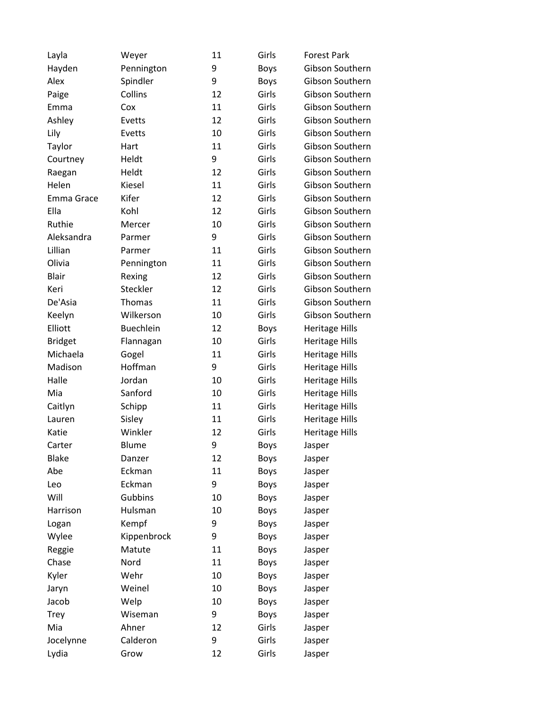| Layla          | Weyer            | 11 | Girls       | <b>Forest Park</b>    |
|----------------|------------------|----|-------------|-----------------------|
| Hayden         | Pennington       | 9  | <b>Boys</b> | Gibson Southern       |
| Alex           | Spindler         | 9  | <b>Boys</b> | Gibson Southern       |
| Paige          | Collins          | 12 | Girls       | Gibson Southern       |
| Emma           | Cox              | 11 | Girls       | Gibson Southern       |
| Ashley         | Evetts           | 12 | Girls       | Gibson Southern       |
| Lily           | Evetts           | 10 | Girls       | Gibson Southern       |
| Taylor         | Hart             | 11 | Girls       | Gibson Southern       |
| Courtney       | Heldt            | 9  | Girls       | Gibson Southern       |
| Raegan         | Heldt            | 12 | Girls       | Gibson Southern       |
| Helen          | Kiesel           | 11 | Girls       | Gibson Southern       |
| Emma Grace     | Kifer            | 12 | Girls       | Gibson Southern       |
| Ella           | Kohl             | 12 | Girls       | Gibson Southern       |
| Ruthie         | Mercer           | 10 | Girls       | Gibson Southern       |
| Aleksandra     | Parmer           | 9  | Girls       | Gibson Southern       |
| Lillian        | Parmer           | 11 | Girls       | Gibson Southern       |
| Olivia         | Pennington       | 11 | Girls       | Gibson Southern       |
| <b>Blair</b>   | Rexing           | 12 | Girls       | Gibson Southern       |
| Keri           | Steckler         | 12 | Girls       | Gibson Southern       |
| De'Asia        | <b>Thomas</b>    | 11 | Girls       | Gibson Southern       |
| Keelyn         | Wilkerson        | 10 | Girls       | Gibson Southern       |
| Elliott        | <b>Buechlein</b> | 12 | <b>Boys</b> | <b>Heritage Hills</b> |
| <b>Bridget</b> | Flannagan        | 10 | Girls       | <b>Heritage Hills</b> |
| Michaela       | Gogel            | 11 | Girls       | <b>Heritage Hills</b> |
| Madison        | Hoffman          | 9  | Girls       | <b>Heritage Hills</b> |
| Halle          | Jordan           | 10 | Girls       | <b>Heritage Hills</b> |
| Mia            | Sanford          | 10 | Girls       | <b>Heritage Hills</b> |
| Caitlyn        | Schipp           | 11 | Girls       | <b>Heritage Hills</b> |
| Lauren         | Sisley           | 11 | Girls       | <b>Heritage Hills</b> |
| Katie          | Winkler          | 12 | Girls       | <b>Heritage Hills</b> |
| Carter         | Blume            | 9  | <b>Boys</b> | Jasper                |
| <b>Blake</b>   | Danzer           | 12 | <b>Boys</b> | Jasper                |
| Abe            | Eckman           | 11 | Boys        | Jasper                |
| Leo            | Eckman           | 9  | <b>Boys</b> | Jasper                |
| Will           | Gubbins          | 10 | <b>Boys</b> | Jasper                |
| Harrison       | Hulsman          | 10 | <b>Boys</b> | Jasper                |
| Logan          | Kempf            | 9  | <b>Boys</b> | Jasper                |
| Wylee          | Kippenbrock      | 9  | <b>Boys</b> | Jasper                |
| Reggie         | Matute           | 11 | <b>Boys</b> | Jasper                |
| Chase          | Nord             | 11 | <b>Boys</b> | Jasper                |
| Kyler          | Wehr             | 10 | <b>Boys</b> | Jasper                |
| Jaryn          | Weinel           | 10 | <b>Boys</b> | Jasper                |
| Jacob          | Welp             | 10 | <b>Boys</b> | Jasper                |
| Trey           | Wiseman          | 9  | <b>Boys</b> | Jasper                |
| Mia            | Ahner            | 12 | Girls       | Jasper                |
| Jocelynne      | Calderon         | 9  | Girls       | Jasper                |
| Lydia          | Grow             | 12 | Girls       | Jasper                |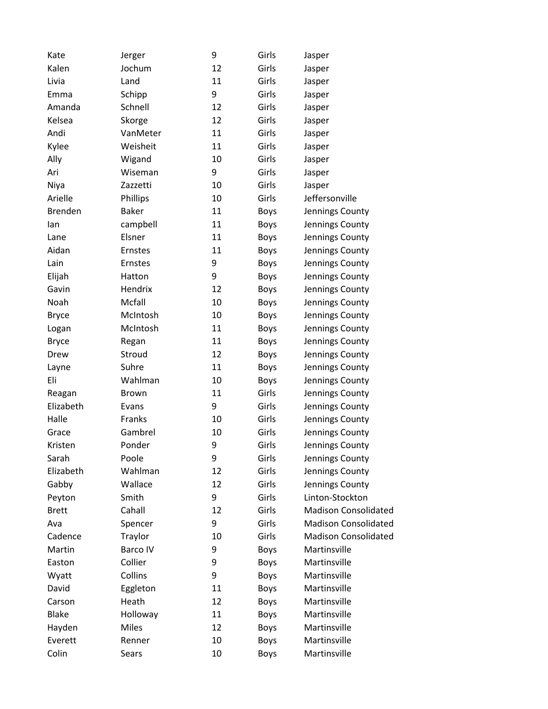| Kate           | Jerger       | 9  | Girls       | Jasper                      |
|----------------|--------------|----|-------------|-----------------------------|
| Kalen          | Jochum       | 12 | Girls       | Jasper                      |
| Livia          | Land         | 11 | Girls       | Jasper                      |
| Emma           | Schipp       | 9  | Girls       | Jasper                      |
| Amanda         | Schnell      | 12 | Girls       | Jasper                      |
| Kelsea         | Skorge       | 12 | Girls       | Jasper                      |
| Andi           | VanMeter     | 11 | Girls       | Jasper                      |
| Kylee          | Weisheit     | 11 | Girls       | Jasper                      |
| Ally           | Wigand       | 10 | Girls       | Jasper                      |
| Ari            | Wiseman      | 9  | Girls       | Jasper                      |
| Niya           | Zazzetti     | 10 | Girls       | Jasper                      |
| Arielle        | Phillips     | 10 | Girls       | Jeffersonville              |
| <b>Brenden</b> | <b>Baker</b> | 11 | <b>Boys</b> | Jennings County             |
| lan            | campbell     | 11 | <b>Boys</b> | Jennings County             |
| Lane           | Elsner       | 11 | <b>Boys</b> | Jennings County             |
| Aidan          | Ernstes      | 11 | <b>Boys</b> | Jennings County             |
| Lain           | Ernstes      | 9  | <b>Boys</b> | Jennings County             |
| Elijah         | Hatton       | 9  | <b>Boys</b> | Jennings County             |
| Gavin          | Hendrix      | 12 | <b>Boys</b> | Jennings County             |
| Noah           | Mcfall       | 10 | <b>Boys</b> | Jennings County             |
| <b>Bryce</b>   | McIntosh     | 10 | <b>Boys</b> | Jennings County             |
| Logan          | McIntosh     | 11 | <b>Boys</b> | Jennings County             |
| <b>Bryce</b>   | Regan        | 11 | <b>Boys</b> | Jennings County             |
| Drew           | Stroud       | 12 | <b>Boys</b> | Jennings County             |
| Layne          | Suhre        | 11 | <b>Boys</b> | Jennings County             |
| Eli            | Wahlman      | 10 | <b>Boys</b> | Jennings County             |
| Reagan         | <b>Brown</b> | 11 | Girls       | Jennings County             |
| Elizabeth      | Evans        | 9  | Girls       | Jennings County             |
| Halle          | Franks       | 10 | Girls       | Jennings County             |
| Grace          | Gambrel      | 10 | Girls       | Jennings County             |
| Kristen        | Ponder       | 9  | Girls       | Jennings County             |
| Sarah          | Poole        | 9  | Girls       | Jennings County             |
| Elizabeth      | Wahlman      | 12 | Girls       | Jennings County             |
| Gabby          | Wallace      | 12 | Girls       | Jennings County             |
| Peyton         | Smith        | 9  | Girls       | Linton-Stockton             |
| <b>Brett</b>   | Cahall       | 12 | Girls       | <b>Madison Consolidated</b> |
| Ava            | Spencer      | 9  | Girls       | <b>Madison Consolidated</b> |
| Cadence        | Traylor      | 10 | Girls       | <b>Madison Consolidated</b> |
| Martin         | Barco IV     | 9  | <b>Boys</b> | Martinsville                |
| Easton         | Collier      | 9  | <b>Boys</b> | Martinsville                |
| Wyatt          | Collins      | 9  | <b>Boys</b> | Martinsville                |
| David          | Eggleton     | 11 | <b>Boys</b> | Martinsville                |
| Carson         | Heath        | 12 | <b>Boys</b> | Martinsville                |
| <b>Blake</b>   | Holloway     | 11 | <b>Boys</b> | Martinsville                |
| Hayden         | <b>Miles</b> | 12 | <b>Boys</b> | Martinsville                |
| Everett        | Renner       | 10 | <b>Boys</b> | Martinsville                |
| Colin          | Sears        | 10 | Boys        | Martinsville                |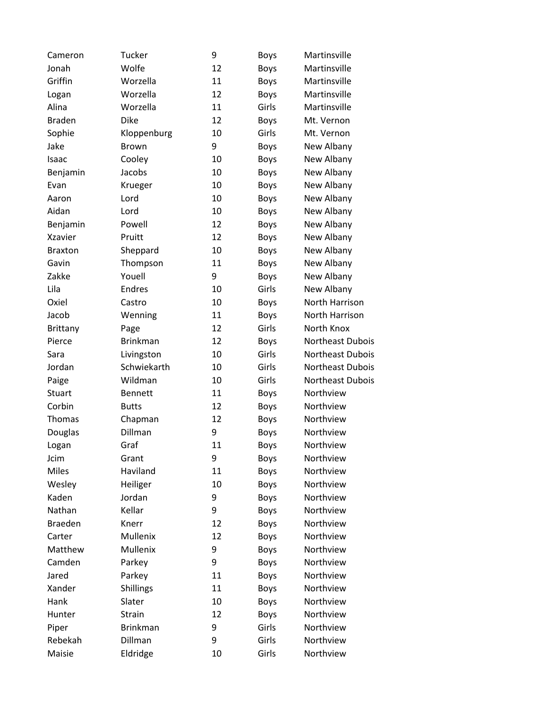| Cameron        | Tucker          | 9  | <b>Boys</b> | Martinsville     |
|----------------|-----------------|----|-------------|------------------|
| Jonah          | Wolfe           | 12 | <b>Boys</b> | Martinsville     |
| Griffin        | Worzella        | 11 | <b>Boys</b> | Martinsville     |
| Logan          | Worzella        | 12 | <b>Boys</b> | Martinsville     |
| Alina          | Worzella        | 11 | Girls       | Martinsville     |
| <b>Braden</b>  | Dike            | 12 | <b>Boys</b> | Mt. Vernon       |
| Sophie         | Kloppenburg     | 10 | Girls       | Mt. Vernon       |
| Jake           | <b>Brown</b>    | 9  | <b>Boys</b> | New Albany       |
| Isaac          | Cooley          | 10 | <b>Boys</b> | New Albany       |
| Benjamin       | Jacobs          | 10 | <b>Boys</b> | New Albany       |
| Evan           | Krueger         | 10 | <b>Boys</b> | New Albany       |
| Aaron          | Lord            | 10 | <b>Boys</b> | New Albany       |
| Aidan          | Lord            | 10 | <b>Boys</b> | New Albany       |
| Benjamin       | Powell          | 12 | <b>Boys</b> | New Albany       |
| <b>Xzavier</b> | Pruitt          | 12 | <b>Boys</b> | New Albany       |
| <b>Braxton</b> | Sheppard        | 10 | <b>Boys</b> | New Albany       |
| Gavin          | Thompson        | 11 | <b>Boys</b> | New Albany       |
| Zakke          | Youell          | 9  | <b>Boys</b> | New Albany       |
| Lila           | Endres          | 10 | Girls       | New Albany       |
| Oxiel          | Castro          | 10 | <b>Boys</b> | North Harrison   |
| Jacob          | Wenning         | 11 | <b>Boys</b> | North Harrison   |
| Brittany       | Page            | 12 | Girls       | North Knox       |
| Pierce         | <b>Brinkman</b> | 12 | <b>Boys</b> | Northeast Dubois |
| Sara           | Livingston      | 10 | Girls       | Northeast Dubois |
| Jordan         | Schwiekarth     | 10 | Girls       | Northeast Dubois |
| Paige          | Wildman         | 10 | Girls       | Northeast Dubois |
| <b>Stuart</b>  | <b>Bennett</b>  | 11 | <b>Boys</b> | Northview        |
| Corbin         | <b>Butts</b>    | 12 | <b>Boys</b> | Northview        |
| Thomas         | Chapman         | 12 | <b>Boys</b> | Northview        |
| Douglas        | Dillman         | 9  | <b>Boys</b> | Northview        |
| Logan          | Graf            | 11 | <b>Boys</b> | Northview        |
| Jcim           | Grant           | 9  | <b>Boys</b> | Northview        |
| <b>Miles</b>   | Haviland        | 11 | Boys        | Northview        |
| Wesley         | Heiliger        | 10 | <b>Boys</b> | Northview        |
| Kaden          | Jordan          | 9  | <b>Boys</b> | Northview        |
| Nathan         | Kellar          | 9  | <b>Boys</b> | Northview        |
| <b>Braeden</b> | Knerr           | 12 | <b>Boys</b> | Northview        |
| Carter         | Mullenix        | 12 | <b>Boys</b> | Northview        |
| Matthew        | Mullenix        | 9  | <b>Boys</b> | Northview        |
| Camden         | Parkey          | 9  | <b>Boys</b> | Northview        |
| Jared          | Parkey          | 11 | <b>Boys</b> | Northview        |
| Xander         | Shillings       | 11 | <b>Boys</b> | Northview        |
| Hank           | Slater          | 10 | <b>Boys</b> | Northview        |
| Hunter         | Strain          | 12 | <b>Boys</b> | Northview        |
| Piper          | <b>Brinkman</b> | 9  | Girls       | Northview        |
| Rebekah        | Dillman         | 9  | Girls       | Northview        |
| Maisie         | Eldridge        | 10 | Girls       | Northview        |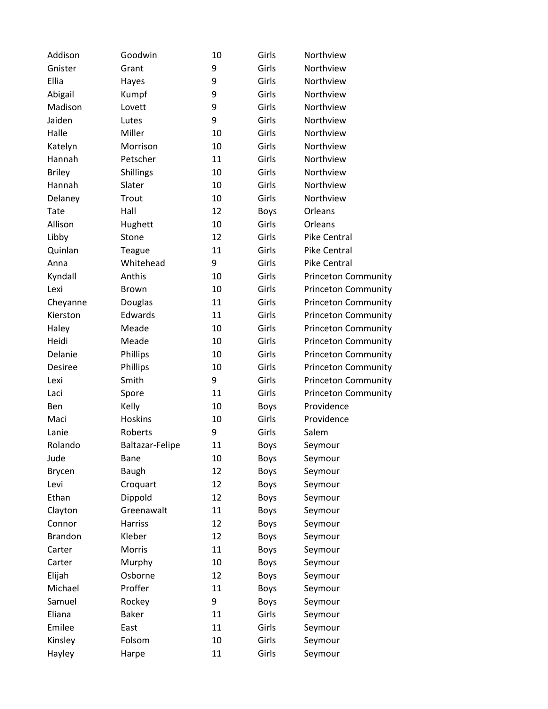| Addison        | Goodwin         | 10 | Girls       | Northview                  |
|----------------|-----------------|----|-------------|----------------------------|
| Gnister        | Grant           | 9  | Girls       | Northview                  |
| Ellia          | Hayes           | 9  | Girls       | Northview                  |
| Abigail        | Kumpf           | 9  | Girls       | Northview                  |
| Madison        | Lovett          | 9  | Girls       | Northview                  |
| Jaiden         | Lutes           | 9  | Girls       | Northview                  |
| Halle          | Miller          | 10 | Girls       | Northview                  |
| Katelyn        | Morrison        | 10 | Girls       | Northview                  |
| Hannah         | Petscher        | 11 | Girls       | Northview                  |
| <b>Briley</b>  | Shillings       | 10 | Girls       | Northview                  |
| Hannah         | Slater          | 10 | Girls       | Northview                  |
| Delaney        | Trout           | 10 | Girls       | Northview                  |
| Tate           | Hall            | 12 | Boys        | Orleans                    |
| Allison        | Hughett         | 10 | Girls       | Orleans                    |
| Libby          | Stone           | 12 | Girls       | <b>Pike Central</b>        |
| Quinlan        | Teague          | 11 | Girls       | Pike Central               |
| Anna           | Whitehead       | 9  | Girls       | <b>Pike Central</b>        |
| Kyndall        | Anthis          | 10 | Girls       | <b>Princeton Community</b> |
| Lexi           | Brown           | 10 | Girls       | <b>Princeton Community</b> |
| Cheyanne       | Douglas         | 11 | Girls       | <b>Princeton Community</b> |
| Kierston       | Edwards         | 11 | Girls       | <b>Princeton Community</b> |
| Haley          | Meade           | 10 | Girls       | <b>Princeton Community</b> |
| Heidi          | Meade           | 10 | Girls       | <b>Princeton Community</b> |
| Delanie        | Phillips        | 10 | Girls       | <b>Princeton Community</b> |
| Desiree        | Phillips        | 10 | Girls       | <b>Princeton Community</b> |
| Lexi           | Smith           | 9  | Girls       | <b>Princeton Community</b> |
| Laci           | Spore           | 11 | Girls       | <b>Princeton Community</b> |
| Ben            | Kelly           | 10 | <b>Boys</b> | Providence                 |
| Maci           | Hoskins         | 10 | Girls       | Providence                 |
| Lanie          | Roberts         | 9  | Girls       | Salem                      |
| Rolando        | Baltazar-Felipe | 11 | <b>Boys</b> | Seymour                    |
| Jude           | Bane            | 10 | <b>Boys</b> | Seymour                    |
| <b>Brycen</b>  | <b>Baugh</b>    | 12 | Boys        | Seymour                    |
| Levi           | Croquart        | 12 | Boys        | Seymour                    |
| Ethan          | Dippold         | 12 | Boys        | Seymour                    |
| Clayton        | Greenawalt      | 11 | Boys        | Seymour                    |
| Connor         | <b>Harriss</b>  | 12 | Boys        | Seymour                    |
| <b>Brandon</b> | Kleber          | 12 | <b>Boys</b> | Seymour                    |
| Carter         | Morris          | 11 | Boys        | Seymour                    |
| Carter         | Murphy          | 10 | Boys        | Seymour                    |
| Elijah         | Osborne         | 12 | Boys        | Seymour                    |
| Michael        | Proffer         | 11 | Boys        | Seymour                    |
| Samuel         | Rockey          | 9  | Boys        | Seymour                    |
| Eliana         | <b>Baker</b>    | 11 | Girls       | Seymour                    |
| Emilee         | East            | 11 | Girls       | Seymour                    |
| Kinsley        | Folsom          | 10 | Girls       | Seymour                    |
| Hayley         | Harpe           | 11 | Girls       | Seymour                    |
|                |                 |    |             |                            |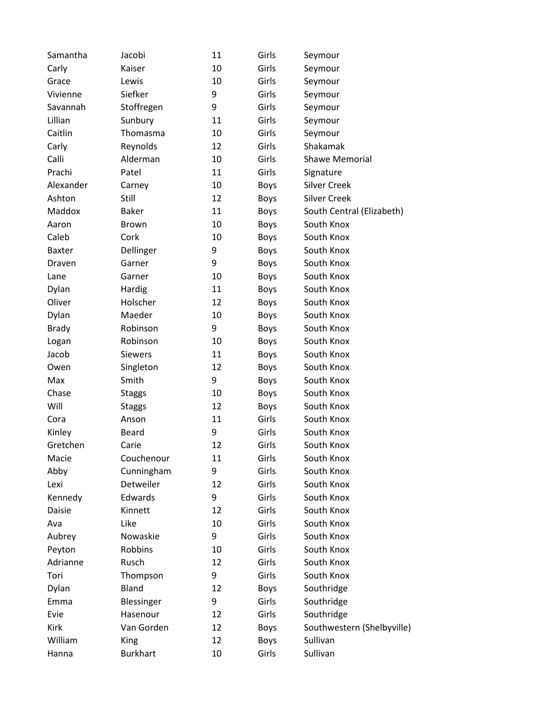| Samantha      | Jacobi          | 11 | Girls       | Seymour                    |
|---------------|-----------------|----|-------------|----------------------------|
| Carly         | Kaiser          | 10 | Girls       | Seymour                    |
| Grace         | Lewis           | 10 | Girls       | Seymour                    |
| Vivienne      | Siefker         | 9  | Girls       | Seymour                    |
| Savannah      | Stoffregen      | 9  | Girls       | Seymour                    |
| Lillian       | Sunbury         | 11 | Girls       | Seymour                    |
| Caitlin       | Thomasma        | 10 | Girls       | Seymour                    |
| Carly         | Reynolds        | 12 | Girls       | Shakamak                   |
| Calli         | Alderman        | 10 | Girls       | Shawe Memorial             |
| Prachi        | Patel           | 11 | Girls       | Signature                  |
| Alexander     | Carney          | 10 | <b>Boys</b> | <b>Silver Creek</b>        |
| Ashton        | Still           | 12 | <b>Boys</b> | <b>Silver Creek</b>        |
| Maddox        | <b>Baker</b>    | 11 | <b>Boys</b> | South Central (Elizabeth)  |
| Aaron         | <b>Brown</b>    | 10 | <b>Boys</b> | South Knox                 |
| Caleb         | Cork            | 10 | <b>Boys</b> | South Knox                 |
| <b>Baxter</b> | Dellinger       | 9  | <b>Boys</b> | South Knox                 |
| Draven        | Garner          | 9  | <b>Boys</b> | South Knox                 |
| Lane          | Garner          | 10 | <b>Boys</b> | South Knox                 |
| Dylan         | Hardig          | 11 | <b>Boys</b> | South Knox                 |
| Oliver        | Holscher        | 12 | <b>Boys</b> | South Knox                 |
| Dylan         | Maeder          | 10 | <b>Boys</b> | South Knox                 |
| <b>Brady</b>  | Robinson        | 9  | <b>Boys</b> | South Knox                 |
| Logan         | Robinson        | 10 | <b>Boys</b> | South Knox                 |
| Jacob         | <b>Siewers</b>  | 11 | <b>Boys</b> | South Knox                 |
| Owen          | Singleton       | 12 | <b>Boys</b> | South Knox                 |
| Max           | Smith           | 9  | <b>Boys</b> | South Knox                 |
| Chase         | <b>Staggs</b>   | 10 | <b>Boys</b> | South Knox                 |
| Will          | <b>Staggs</b>   | 12 | <b>Boys</b> | South Knox                 |
| Cora          | Anson           | 11 | Girls       | South Knox                 |
| Kinley        | Beard           | 9  | Girls       | South Knox                 |
| Gretchen      | Carie           | 12 | Girls       | South Knox                 |
| Macie         | Couchenour      | 11 | Girls       | South Knox                 |
| Abby          | Cunningham      | 9  | Girls       | South Knox                 |
| Lexi          | Detweiler       | 12 | Girls       | South Knox                 |
| Kennedy       | Edwards         | 9  | Girls       | South Knox                 |
| Daisie        | Kinnett         | 12 | Girls       | South Knox                 |
| Ava           | Like            | 10 | Girls       | South Knox                 |
| Aubrey        | Nowaskie        | 9  | Girls       | South Knox                 |
| Peyton        | Robbins         | 10 | Girls       | South Knox                 |
| Adrianne      | Rusch           | 12 | Girls       | South Knox                 |
| Tori          | Thompson        | 9  | Girls       | South Knox                 |
| Dylan         | Bland           | 12 | <b>Boys</b> | Southridge                 |
| Emma          | Blessinger      | 9  | Girls       | Southridge                 |
| Evie          | Hasenour        | 12 | Girls       | Southridge                 |
| Kirk          | Van Gorden      | 12 | <b>Boys</b> | Southwestern (Shelbyville) |
| William       | King            | 12 | <b>Boys</b> | Sullivan                   |
| Hanna         | <b>Burkhart</b> | 10 | Girls       | Sullivan                   |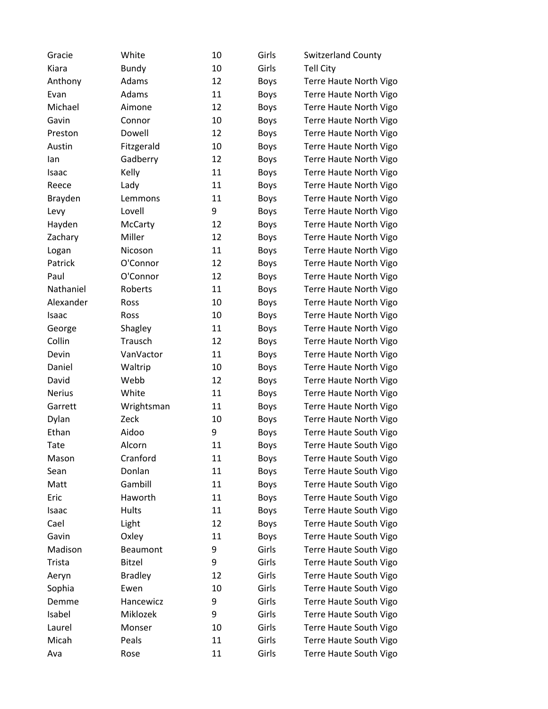| Gracie        | White          | 10 | Girls       | <b>Switzerland County</b> |
|---------------|----------------|----|-------------|---------------------------|
| Kiara         | <b>Bundy</b>   | 10 | Girls       | <b>Tell City</b>          |
| Anthony       | Adams          | 12 | <b>Boys</b> | Terre Haute North Vigo    |
| Evan          | Adams          | 11 | <b>Boys</b> | Terre Haute North Vigo    |
| Michael       | Aimone         | 12 | <b>Boys</b> | Terre Haute North Vigo    |
| Gavin         | Connor         | 10 | <b>Boys</b> | Terre Haute North Vigo    |
| Preston       | Dowell         | 12 | <b>Boys</b> | Terre Haute North Vigo    |
| Austin        | Fitzgerald     | 10 | <b>Boys</b> | Terre Haute North Vigo    |
| lan           | Gadberry       | 12 | <b>Boys</b> | Terre Haute North Vigo    |
| Isaac         | Kelly          | 11 | <b>Boys</b> | Terre Haute North Vigo    |
| Reece         | Lady           | 11 | <b>Boys</b> | Terre Haute North Vigo    |
| Brayden       | Lemmons        | 11 | <b>Boys</b> | Terre Haute North Vigo    |
| Levy          | Lovell         | 9  | <b>Boys</b> | Terre Haute North Vigo    |
| Hayden        | McCarty        | 12 | <b>Boys</b> | Terre Haute North Vigo    |
| Zachary       | Miller         | 12 | <b>Boys</b> | Terre Haute North Vigo    |
| Logan         | Nicoson        | 11 | <b>Boys</b> | Terre Haute North Vigo    |
| Patrick       | O'Connor       | 12 | <b>Boys</b> | Terre Haute North Vigo    |
| Paul          | O'Connor       | 12 | <b>Boys</b> | Terre Haute North Vigo    |
| Nathaniel     | Roberts        | 11 | <b>Boys</b> | Terre Haute North Vigo    |
| Alexander     | Ross           | 10 | <b>Boys</b> | Terre Haute North Vigo    |
| Isaac         | Ross           | 10 | <b>Boys</b> | Terre Haute North Vigo    |
| George        | Shagley        | 11 | <b>Boys</b> | Terre Haute North Vigo    |
| Collin        | Trausch        | 12 | <b>Boys</b> | Terre Haute North Vigo    |
| Devin         | VanVactor      | 11 | <b>Boys</b> | Terre Haute North Vigo    |
| Daniel        | Waltrip        | 10 | <b>Boys</b> | Terre Haute North Vigo    |
| David         | Webb           | 12 | <b>Boys</b> | Terre Haute North Vigo    |
| <b>Nerius</b> | White          | 11 | <b>Boys</b> | Terre Haute North Vigo    |
| Garrett       | Wrightsman     | 11 | <b>Boys</b> | Terre Haute North Vigo    |
| Dylan         | Zeck           | 10 | <b>Boys</b> | Terre Haute North Vigo    |
| Ethan         | Aidoo          | 9  | <b>Boys</b> | Terre Haute South Vigo    |
| Tate          | Alcorn         | 11 | <b>Boys</b> | Terre Haute South Vigo    |
| Mason         | Cranford       | 11 | <b>Boys</b> | Terre Haute South Vigo    |
| Sean          | Donlan         | 11 | <b>Boys</b> | Terre Haute South Vigo    |
| Matt          | Gambill        | 11 | <b>Boys</b> | Terre Haute South Vigo    |
| Eric          | Haworth        | 11 | <b>Boys</b> | Terre Haute South Vigo    |
| Isaac         | Hults          | 11 | <b>Boys</b> | Terre Haute South Vigo    |
| Cael          | Light          | 12 | <b>Boys</b> | Terre Haute South Vigo    |
| Gavin         | Oxley          | 11 | <b>Boys</b> | Terre Haute South Vigo    |
| Madison       | Beaumont       | 9  | Girls       | Terre Haute South Vigo    |
| Trista        | <b>Bitzel</b>  | 9  | Girls       | Terre Haute South Vigo    |
| Aeryn         | <b>Bradley</b> | 12 | Girls       | Terre Haute South Vigo    |
| Sophia        | Ewen           | 10 | Girls       | Terre Haute South Vigo    |
| Demme         | Hancewicz      | 9  | Girls       | Terre Haute South Vigo    |
| Isabel        | Miklozek       | 9  | Girls       | Terre Haute South Vigo    |
| Laurel        | Monser         | 10 | Girls       | Terre Haute South Vigo    |
| Micah         | Peals          | 11 | Girls       | Terre Haute South Vigo    |
| Ava           | Rose           | 11 | Girls       | Terre Haute South Vigo    |